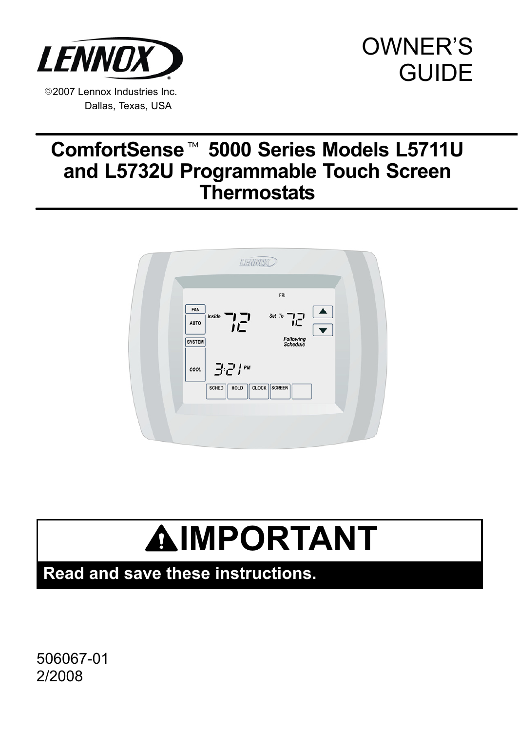<span id="page-0-0"></span>

# OWNER'S **GUIDE**

# ComfortSense<sup>™</sup> 5000 Series Models L5711U and L5732U Programmable Touch Screen **Thermostats**



# **AIMPORTANT**

Read and save these instructions.

506067−01 2/2008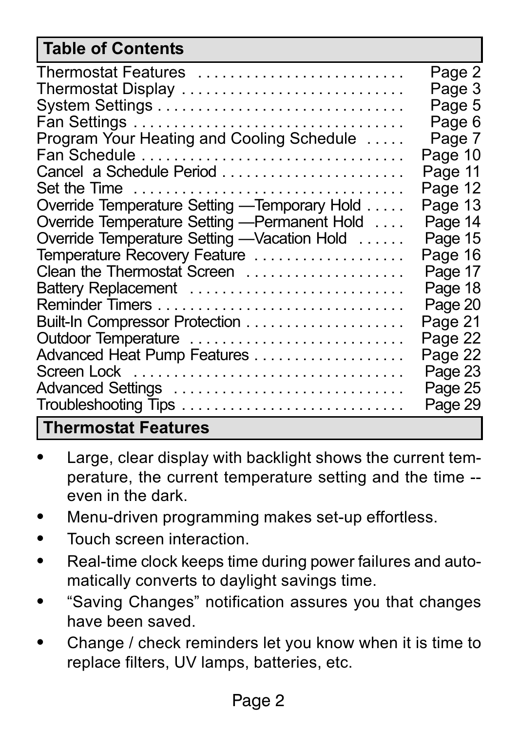#### Table of Contents

| Thermostat Features                           | Page 2  |
|-----------------------------------------------|---------|
| Thermostat Display                            | Page 3  |
|                                               | Page 5  |
|                                               | Page 6  |
| Program Your Heating and Cooling Schedule     | Page 7  |
| Fan Schedule                                  | Page 10 |
|                                               | Page 11 |
| Set the Time                                  | Page 12 |
| Override Temperature Setting - Temporary Hold | Page 13 |
| Override Temperature Setting - Permanent Hold | Page 14 |
| Override Temperature Setting - Vacation Hold  | Page 15 |
| Temperature Recovery Feature                  | Page 16 |
| Clean the Thermostat Screen                   | Page 17 |
| Battery Replacement                           | Page 18 |
|                                               | Page 20 |
|                                               | Page 21 |
| Outdoor Temperature                           | Page 22 |
| Advanced Heat Pump Features                   | Page 22 |
|                                               | Page 23 |
| Advanced Settings                             | Page 25 |
|                                               | Page 29 |
| <b>Thermostat Features</b>                    |         |

- $\bullet$  Large, clear display with backlight shows the current temperature, the current temperature setting and the time −− even in the dark.
- $\bullet$ Menu−driven programming makes set−up effortless.
- -Touch screen interaction.
- $\bullet$  Real−time clock keeps time during power failures and automatically converts to daylight savings time.
- $\bullet$  -Saving Changes" notification assures you that changes have been saved.
- - Change / check reminders let you know when it is time to replace filters, UV lamps, batteries, etc.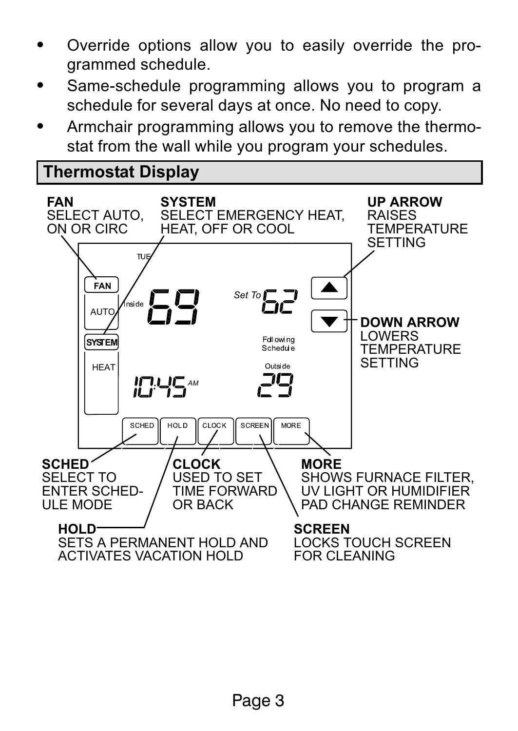- <span id="page-2-0"></span>- Override options allow you to easily override the programmed schedule.
- - Same−schedule programming allows you to program a schedule for several days at once. No need to copy.
- - Armchair programming allows you to remove the thermostat from the wall while you program your schedules.

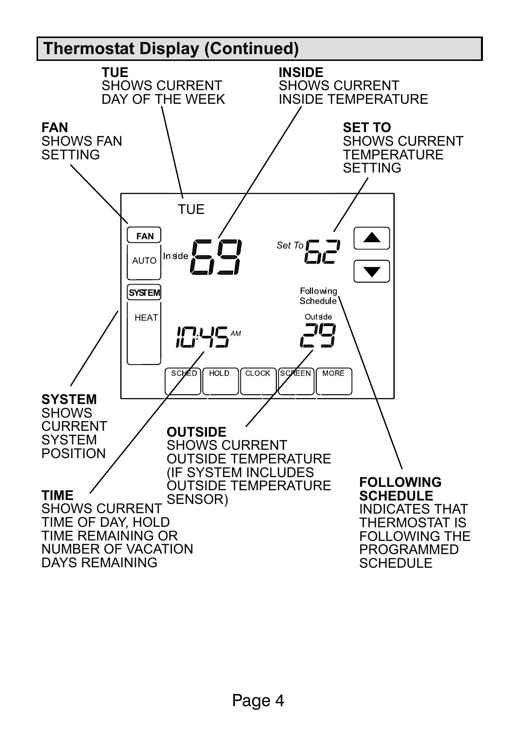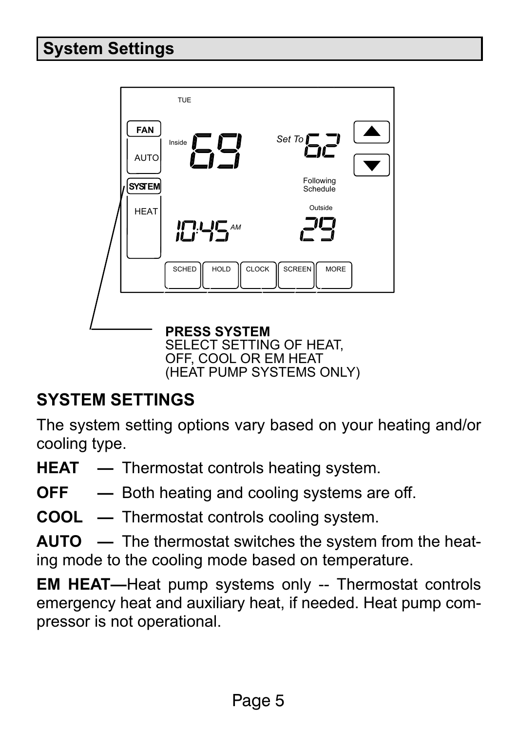# <span id="page-4-0"></span>System Settings



#### SYSTEM SETTINGS

The system setting options vary based on your heating and/or cooling type.

- $HEAT$   $-$  Thermostat controls heating system.
- $OFF$   $-$  Both heating and cooling systems are off.
- **COOL** Thermostat controls cooling system.

AUTO - The thermostat switches the system from the heating mode to the cooling mode based on temperature.

EM HEAT—Heat pump systems only -- Thermostat controls emergency heat and auxiliary heat, if needed. Heat pump compressor is not operational.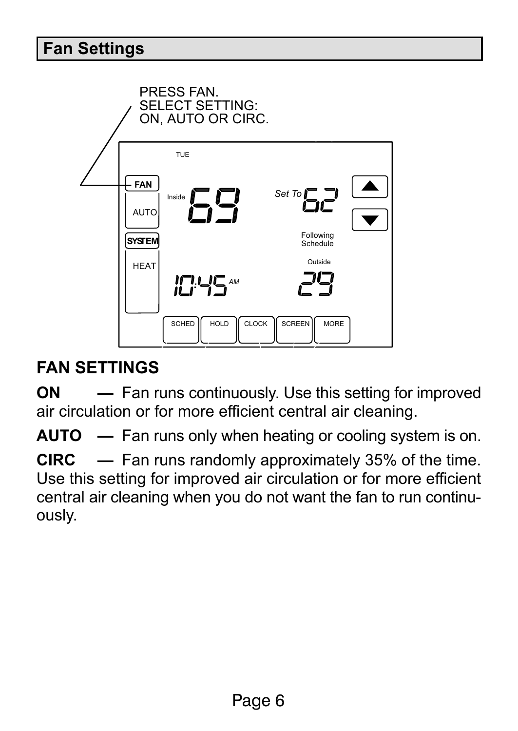#### <span id="page-5-0"></span>Fan Settings



### FAN SETTINGS

ON 
— Fan runs continuously. Use this setting for improved air circulation or for more efficient central air cleaning.

AUTO  $-$  Fan runs only when heating or cooling system is on.

 $CIRC$   $-$  Fan runs randomly approximately 35% of the time. Use this setting for improved air circulation or for more efficient central air cleaning when you do not want the fan to run continuously.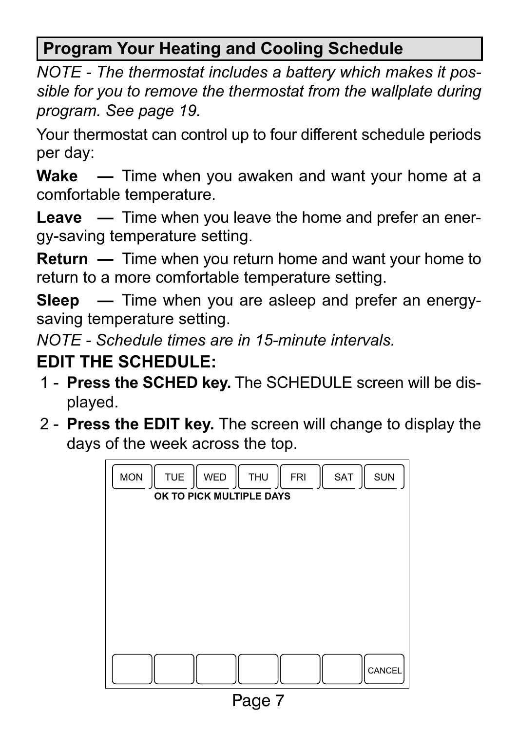# <span id="page-6-0"></span>Program Your Heating and Cooling Schedule

NOTE − The thermostat includes a battery which makes it possible for you to remove the thermostat from the wallplate during program. See page 19.

Your thermostat can control up to four different schedule periods per day:

**Wake**  $\blacksquare$  Time when you awaken and want your home at a comfortable temperature.

**Leave**  $\ \ -$  Time when you leave the home and prefer an energy−saving temperature setting.

 $Return - Time when you return home and want your home to$ return to a more comfortable temperature setting.

Sleep — Time when you are asleep and prefer an energysaving temperature setting.

NOTE − Schedule times are in 15−minute intervals.

### EDIT THE SCHEDULE:

- 1 Press the SCHED key. The SCHEDULE screen will be displayed.
- 2 Press the EDIT key. The screen will change to display the days of the week across the top.



Page 7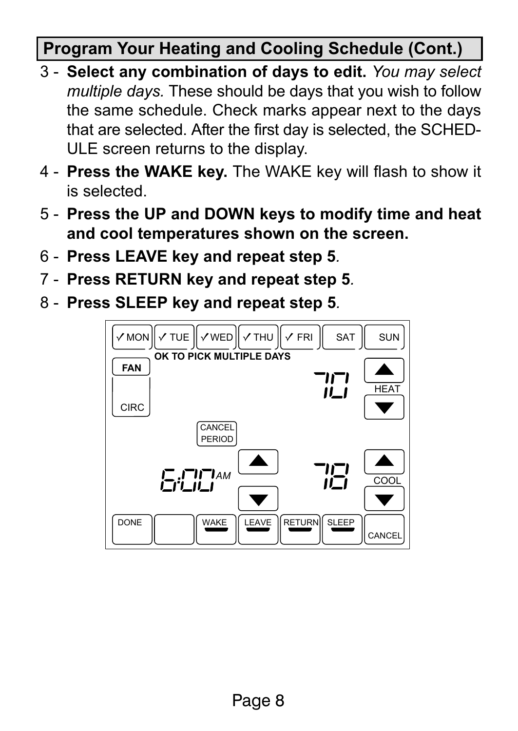# Program Your Heating and Cooling Schedule (Cont.)

- 3 Select any combination of days to edit. You may select multiple days. These should be days that you wish to follow the same schedule. Check marks appear next to the days that are selected. After the first day is selected, the SCHED-ULE screen returns to the display.
- 4 − Press the WAKE key. The WAKE key will flash to show it is selected.
- 5 − Press the UP and DOWN keys to modify time and heat and cool temperatures shown on the screen.
- 6 − Press LEAVE key and repeat step 5.
- 7 Press RETURN key and repeat step 5.
- 8 Press SLEEP key and repeat step 5.

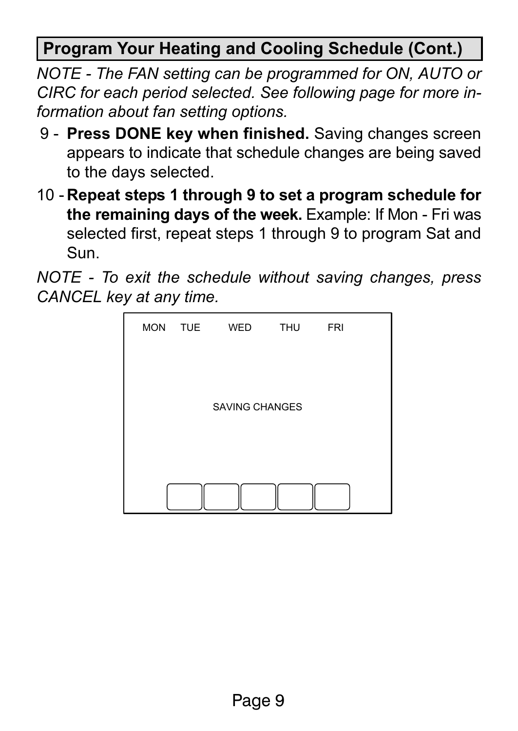Program Your Heating and Cooling Schedule (Cont.)

NOTE − The FAN setting can be programmed for ON, AUTO or CIRC for each period selected. See following page for more information about fan setting options.

- 9 Press DONE key when finished. Saving changes screen appears to indicate that schedule changes are being saved to the days selected.
- 10 − Repeat steps 1 through 9 to set a program schedule for the remaining days of the week. Example: If Mon − Fri was selected first, repeat steps 1 through 9 to program Sat and Sun.

NOTE − To exit the schedule without saving changes, press CANCEL key at any time.

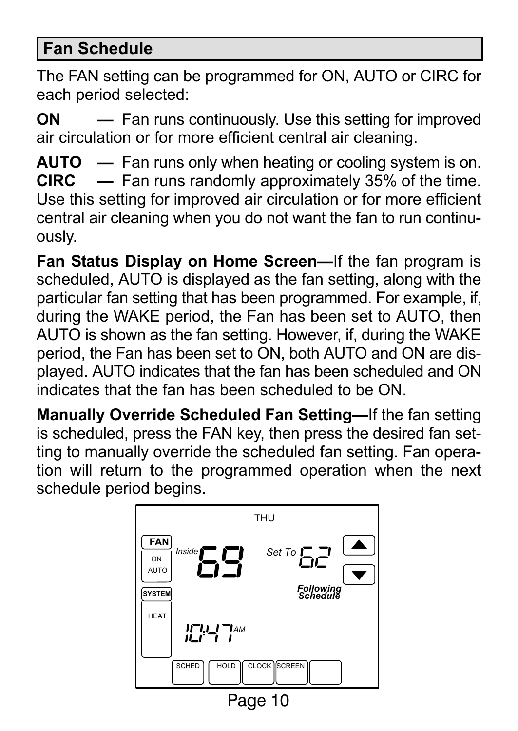#### <span id="page-9-0"></span>Fan Schedule

The FAN setting can be programmed for ON, AUTO or CIRC for each period selected:

ON 
— Fan runs continuously. Use this setting for improved air circulation or for more efficient central air cleaning.

**AUTO**  $-$  Fan runs only when heating or cooling system is on.<br>**CIRC**  $-$  Fan runs randomly approximately 35% of the time.  $-$  Fan runs randomly approximately 35% of the time. Use this setting for improved air circulation or for more efficient central air cleaning when you do not want the fan to run continuously.

Fan Status Display on Home Screen-If the fan program is scheduled, AUTO is displayed as the fan setting, along with the particular fan setting that has been programmed. For example, if, during the WAKE period, the Fan has been set to AUTO, then AUTO is shown as the fan setting. However, if, during the WAKE period, the Fan has been set to ON, both AUTO and ON are displayed. AUTO indicates that the fan has been scheduled and ON indicates that the fan has been scheduled to be ON.

Manually Override Scheduled Fan Setting-If the fan setting is scheduled, press the FAN key, then press the desired fan setting to manually override the scheduled fan setting. Fan operation will return to the programmed operation when the next schedule period begins.

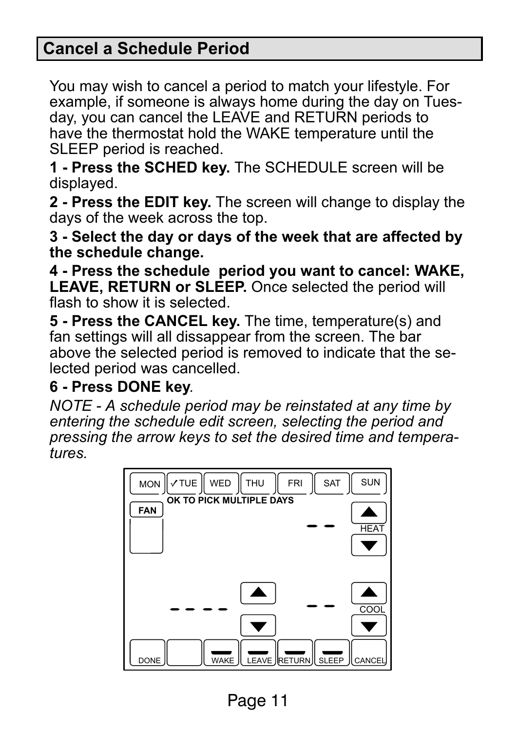#### <span id="page-10-0"></span>Cancel a Schedule Period

You may wish to cancel a period to match your lifestyle. For example, if someone is always home during the day on Tuesday, you can cancel the LEAVE and RETURN periods to have the thermostat hold the WAKE temperature until the SLEEP period is reached.

1 − Press the SCHED key. The SCHEDULE screen will be displayed.

2 - Press the EDIT key. The screen will change to display the days of the week across the top.

3 − Select the day or days of the week that are affected by the schedule change.

4 − Press the schedule period you want to cancel: WAKE, LEAVE, RETURN or SLEEP. Once selected the period will flash to show it is selected.

5 - Press the CANCEL key. The time, temperature(s) and fan settings will all dissappear from the screen. The bar above the selected period is removed to indicate that the selected period was cancelled.

#### 6 − Press DONE key.

NOTE − A schedule period may be reinstated at any time by entering the schedule edit screen, selecting the period and pressing the arrow keys to set the desired time and temperatures.



Page 11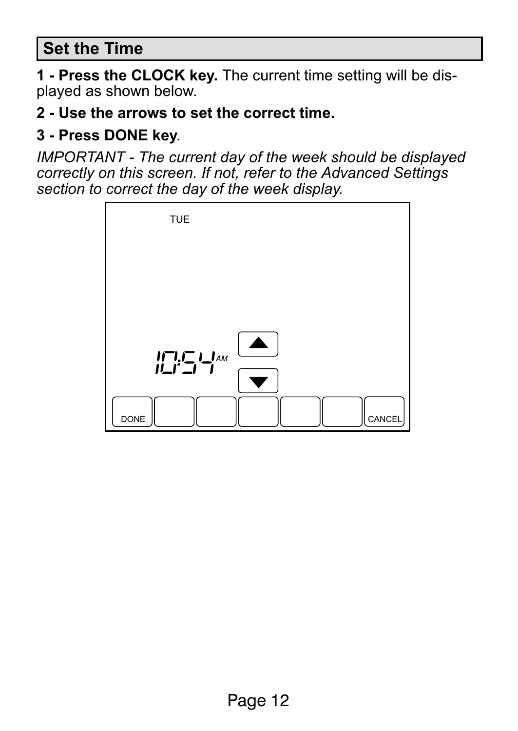#### <span id="page-11-0"></span>Set the Time

1 - Press the CLOCK key. The current time setting will be displayed as shown below.

2 - Use the arrows to set the correct time.

#### 3 − Press DONE key.

IMPORTANT − The current day of the week should be displayed correctly on this screen. If not, refer to the Advanced Settings section to correct the day of the week display.

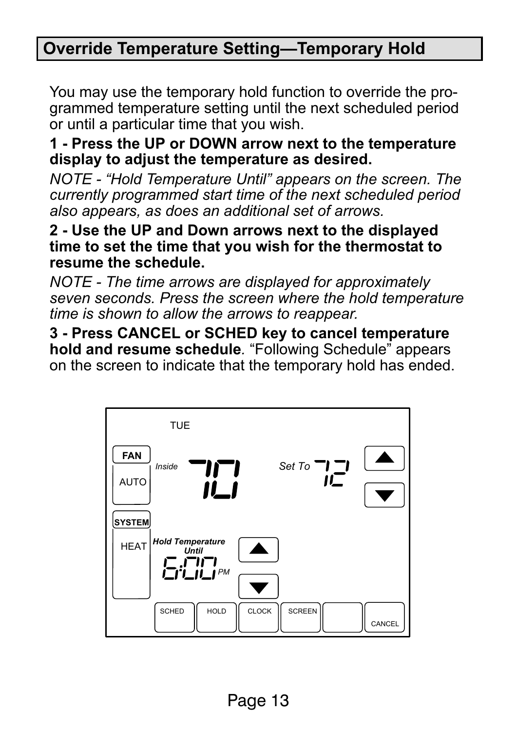#### <span id="page-12-0"></span>Override Temperature Setting-Temporary Hold

You may use the temporary hold function to override the programmed temperature setting until the next scheduled period or until a particular time that you wish.

#### 1 − Press the UP or DOWN arrow next to the temperature display to adjust the temperature as desired.

NOTE − Hold Temperature Until" appears on the screen. The currently programmed start time of the next scheduled period also appears, as does an additional set of arrows.

2 − Use the UP and Down arrows next to the displayed time to set the time that you wish for the thermostat to resume the schedule.

NOTE − The time arrows are displayed for approximately seven seconds. Press the screen where the hold temperature time is shown to allow the arrows to reappear.

3 − Press CANCEL or SCHED key to cancel temperature **hold and resume schedule**. "Following Schedule" appears on the screen to indicate that the temporary hold has ended.

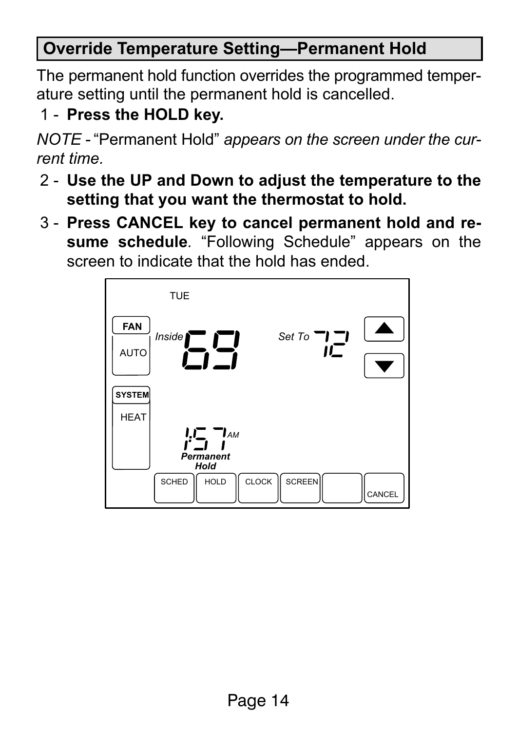## <span id="page-13-0"></span>Override Temperature Setting-Permanent Hold

The permanent hold function overrides the programmed temperature setting until the permanent hold is cancelled.

1 - Press the HOLD key.

NOTE - "Permanent Hold" *appears on the screen under the cur*rent time.

- 2 − Use the UP and Down to adjust the temperature to the setting that you want the thermostat to hold.
- 3 − Press CANCEL key to cancel permanent hold and resume schedule. "Following Schedule" appears on the screen to indicate that the hold has ended.

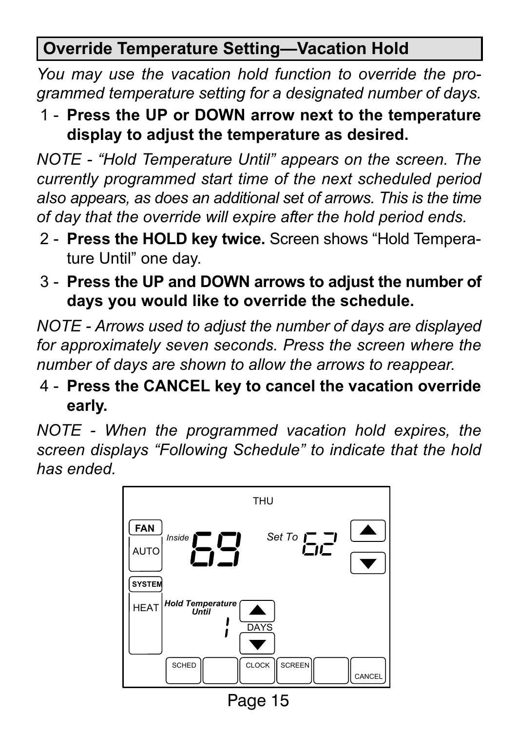# <span id="page-14-0"></span>Override Temperature Setting-Vacation Hold

You may use the vacation hold function to override the programmed temperature setting for a designated number of days.

1 − Press the UP or DOWN arrow next to the temperature display to adjust the temperature as desired.

NOTE - "Hold Temperature Until" appears on the screen. The currently programmed start time of the next scheduled period also appears, as does an additional set of arrows. This is the time of day that the override will expire after the hold period ends.

- 2 Press the HOLD key twice. Screen shows "Hold Temperature Until" one day.
- 3 − Press the UP and DOWN arrows to adjust the number of days you would like to override the schedule.

NOTE − Arrows used to adjust the number of days are displayed for approximately seven seconds. Press the screen where the number of days are shown to allow the arrows to reappear.

4 − Press the CANCEL key to cancel the vacation override early.

NOTE − When the programmed vacation hold expires, the screen displays "Following Schedule" to indicate that the hold has ended.

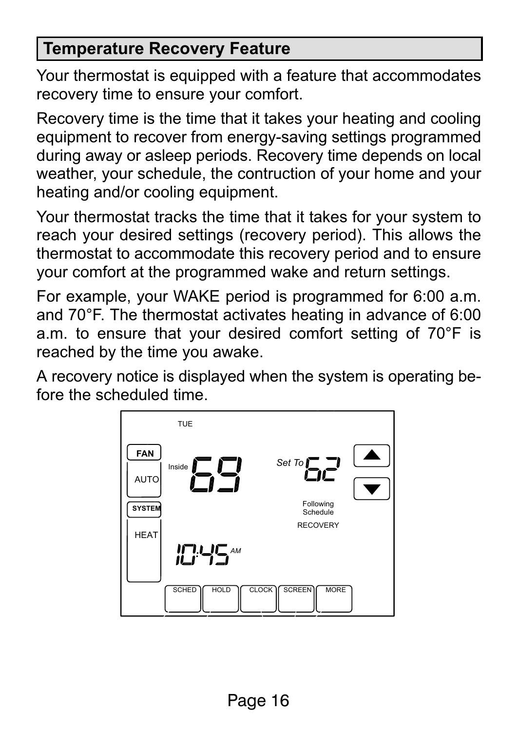#### <span id="page-15-0"></span>Temperature Recovery Feature

Your thermostat is equipped with a feature that accommodates recovery time to ensure your comfort.

Recovery time is the time that it takes your heating and cooling equipment to recover from energy−saving settings programmed during away or asleep periods. Recovery time depends on local weather, your schedule, the contruction of your home and your heating and/or cooling equipment.

Your thermostat tracks the time that it takes for your system to reach your desired settings (recovery period). This allows the thermostat to accommodate this recovery period and to ensure your comfort at the programmed wake and return settings.

For example, your WAKE period is programmed for 6:00 a.m. and 70°F. The thermostat activates heating in advance of 6:00 a.m. to ensure that your desired comfort setting of 70°F is reached by the time you awake.

A recovery notice is displayed when the system is operating before the scheduled time.

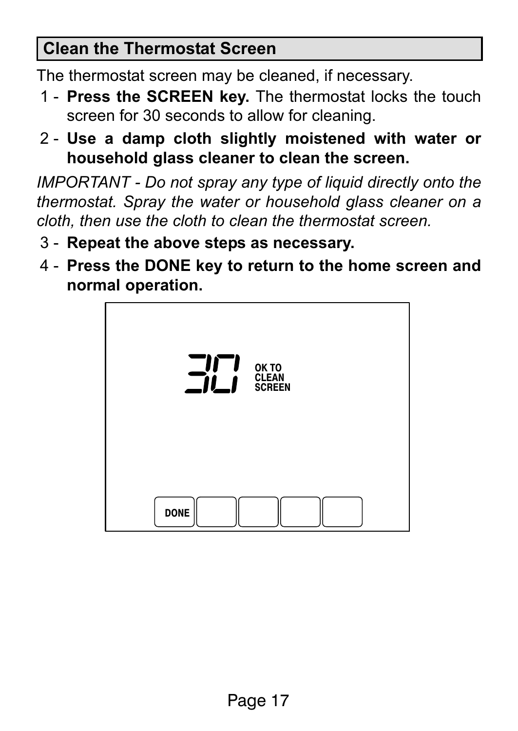#### <span id="page-16-0"></span>Clean the Thermostat Screen

The thermostat screen may be cleaned, if necessary.

- 1 Press the SCREEN key. The thermostat locks the touch screen for 30 seconds to allow for cleaning.
- 2 − Use a damp cloth slightly moistened with water or household glass cleaner to clean the screen.

IMPORTANT − Do not spray any type of liquid directly onto the thermostat. Spray the water or household glass cleaner on a cloth, then use the cloth to clean the thermostat screen.

- 3 − Repeat the above steps as necessary.
- 4 − Press the DONE key to return to the home screen and normal operation.

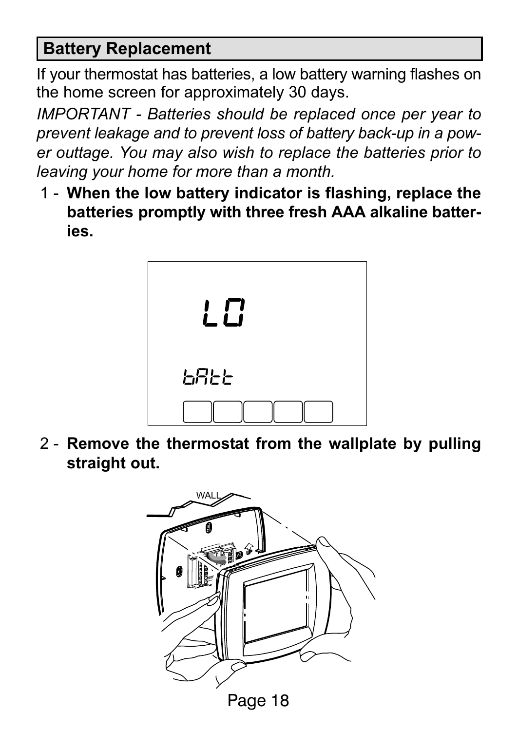#### <span id="page-17-0"></span>Battery Replacement

If your thermostat has batteries, a low battery warning flashes on the home screen for approximately 30 days.

IMPORTANT − Batteries should be replaced once per year to prevent leakage and to prevent loss of battery back−up in a power outtage. You may also wish to replace the batteries prior to leaving your home for more than a month.

1 − When the low battery indicator is flashing, replace the batteries promptly with three fresh AAA alkaline batteries.



2 - Remove the thermostat from the wallplate by pulling straight out.

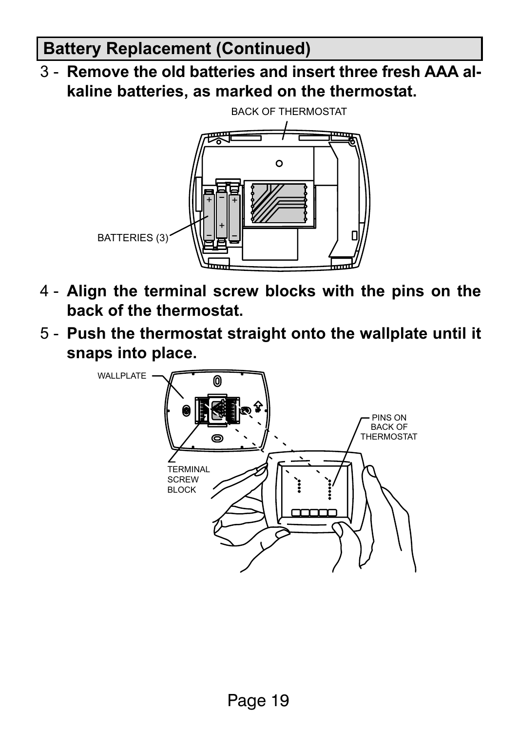#### Battery Replacement (Continued)

3 − Remove the old batteries and insert three fresh AAA alkaline batteries, as marked on the thermostat.



- 4 − Align the terminal screw blocks with the pins on the back of the thermostat.
- 5 − Push the thermostat straight onto the wallplate until it snaps into place.

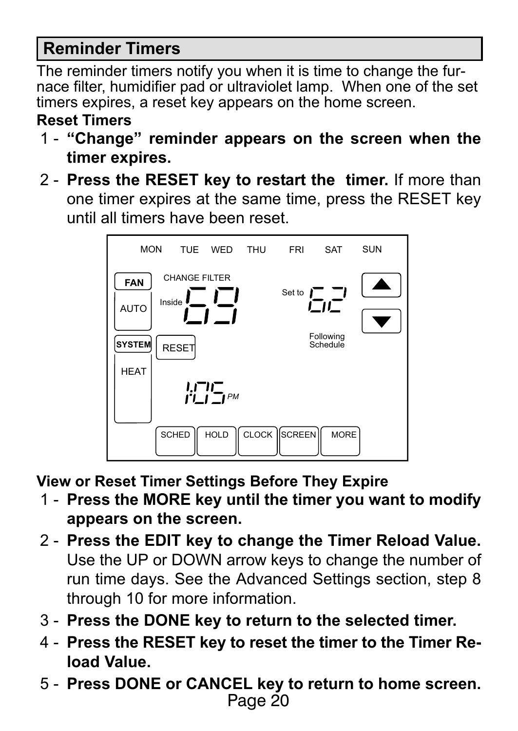#### <span id="page-19-0"></span>Reminder Timers

The reminder timers notify you when it is time to change the furnace filter, humidifier pad or ultraviolet lamp. When one of the set timers expires, a reset key appears on the home screen.

#### Reset Timers

- 1 "Change" reminder appears on the screen when the timer expires.
- 2 Press the RESET key to restart the timer. If more than one timer expires at the same time, press the RESET key until all timers have been reset.



View or Reset Timer Settings Before They Expire

- 1 − Press the MORE key until the timer you want to modify appears on the screen.
- 2 Press the EDIT key to change the Timer Reload Value. Use the UP or DOWN arrow keys to change the number of run time days. See the Advanced Settings section, step 8 through 10 for more information.
- 3 − Press the DONE key to return to the selected timer.
- 4 − Press the RESET key to reset the timer to the Timer Reload Value.
- $\frac{1}{2}$ 5 − Press DONE or CANCEL key to return to home screen.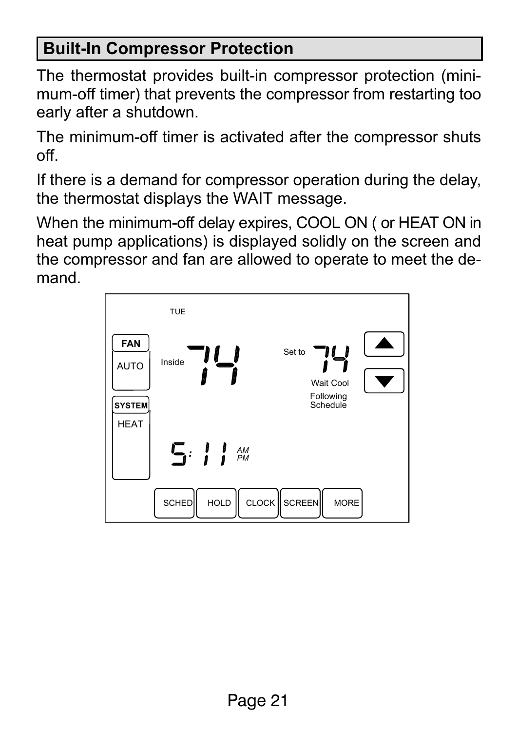# <span id="page-20-0"></span>Built−In Compressor Protection

The thermostat provides built−in compressor protection (minimum−off timer) that prevents the compressor from restarting too early after a shutdown.

The minimum−off timer is activated after the compressor shuts off.

If there is a demand for compressor operation during the delay, the thermostat displays the WAIT message.

When the minimum−off delay expires, COOL ON ( or HEAT ON in heat pump applications) is displayed solidly on the screen and the compressor and fan are allowed to operate to meet the demand.

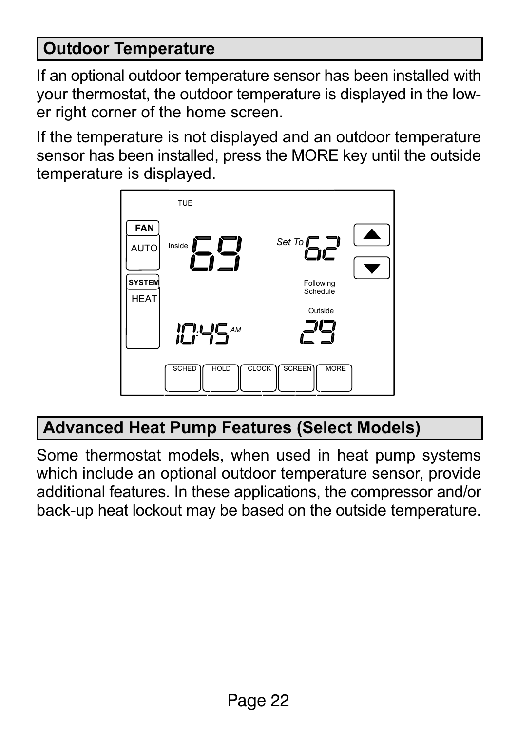#### <span id="page-21-0"></span>Outdoor Temperature

If an optional outdoor temperature sensor has been installed with your thermostat, the outdoor temperature is displayed in the lower right corner of the home screen.

If the temperature is not displayed and an outdoor temperature sensor has been installed, press the MORE key until the outside temperature is displayed.



# Advanced Heat Pump Features (Select Models)

Some thermostat models, when used in heat pump systems which include an optional outdoor temperature sensor, provide additional features. In these applications, the compressor and/or back−up heat lockout may be based on the outside temperature.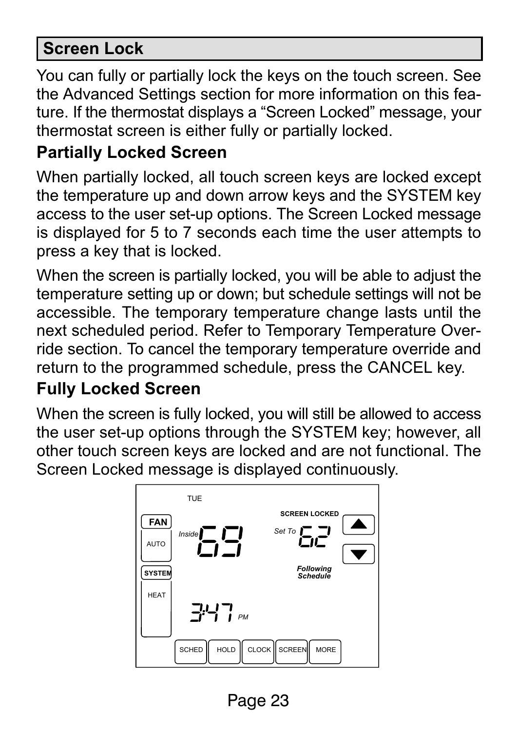#### <span id="page-22-0"></span>Screen Lock

You can fully or partially lock the keys on the touch screen. See the Advanced Settings section for more information on this feature. If the thermostat displays a "Screen Locked" message, your thermostat screen is either fully or partially locked.

#### Partially Locked Screen

When partially locked, all touch screen keys are locked except the temperature up and down arrow keys and the SYSTEM key access to the user set−up options. The Screen Locked message is displayed for 5 to 7 seconds each time the user attempts to press a key that is locked.

When the screen is partially locked, you will be able to adjust the temperature setting up or down; but schedule settings will not be accessible. The temporary temperature change lasts until the next scheduled period. Refer to Temporary Temperature Override section. To cancel the temporary temperature override and return to the programmed schedule, press the CANCEL key.

#### Fully Locked Screen

When the screen is fully locked, you will still be allowed to access the user set−up options through the SYSTEM key; however, all other touch screen keys are locked and are not functional. The Screen Locked message is displayed continuously.



 $\frac{1}{2}$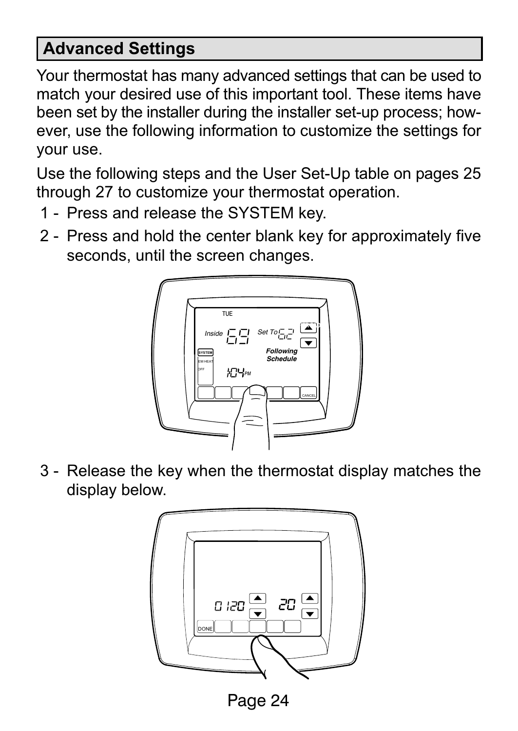#### Advanced Settings

Your thermostat has many advanced settings that can be used to match your desired use of this important tool. These items have been set by the installer during the installer set−up process; however, use the following information to customize the settings for your use.

Use the following steps and the User Set−Up table on pages 25 through 27 to customize your thermostat operation.

- 1 Press and release the SYSTEM key.
- 2 Press and hold the center blank key for approximately five seconds, until the screen changes.



3 − Release the key when the thermostat display matches the display below.



 $\frac{1}{2}$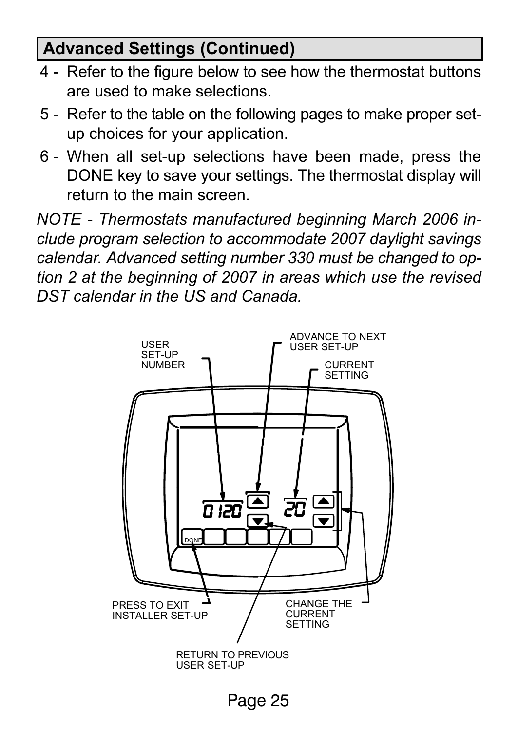#### <span id="page-24-0"></span>Advanced Settings (Continued)

- 4 − Refer to the figure below to see how the thermostat buttons are used to make selections.
- 5 − Refer to the table on the following pages to make proper set− up choices for your application.
- 6 − When all set−up selections have been made, press the DONE key to save your settings. The thermostat display will return to the main screen.

NOTE − Thermostats manufactured beginning March 2006 include program selection to accommodate 2007 daylight savings calendar. Advanced setting number 330 must be changed to option 2 at the beginning of 2007 in areas which use the revised DST calendar in the US and Canada.

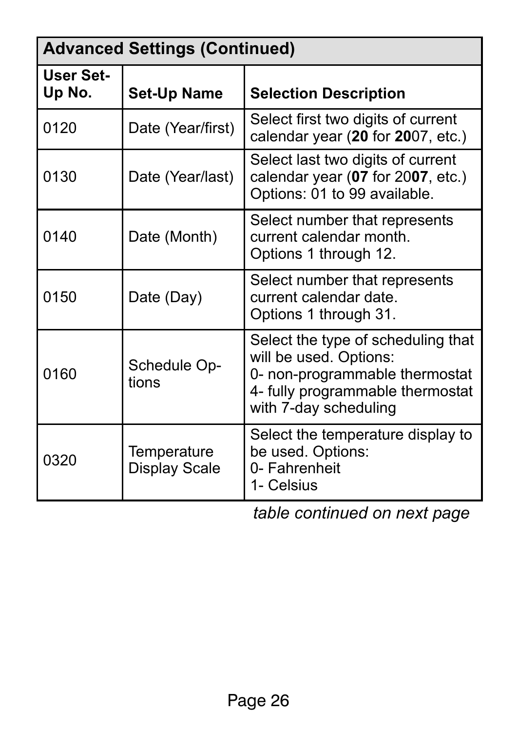| <b>Advanced Settings (Continued)</b> |                              |                                                                                                                                                             |
|--------------------------------------|------------------------------|-------------------------------------------------------------------------------------------------------------------------------------------------------------|
| User Set-<br>Up No.                  | Set-Up Name                  | <b>Selection Description</b>                                                                                                                                |
| 0120                                 | Date (Year/first)            | Select first two digits of current<br>calendar year (20 for 2007, etc.)                                                                                     |
| 0130                                 | Date (Year/last)             | Select last two digits of current<br>calendar year (07 for 2007, etc.)<br>Options: 01 to 99 available.                                                      |
| 0140                                 | Date (Month)                 | Select number that represents<br>current calendar month.<br>Options 1 through 12.                                                                           |
| 0150                                 | Date (Day)                   | Select number that represents<br>current calendar date.<br>Options 1 through 31.                                                                            |
| 0160                                 | Schedule Op-<br>tions        | Select the type of scheduling that<br>will be used. Options:<br>0- non-programmable thermostat<br>4- fully programmable thermostat<br>with 7-day scheduling |
| 0320                                 | Temperature<br>Display Scale | Select the temperature display to<br>be used. Options:<br>0- Fahrenheit<br>1- Celsius                                                                       |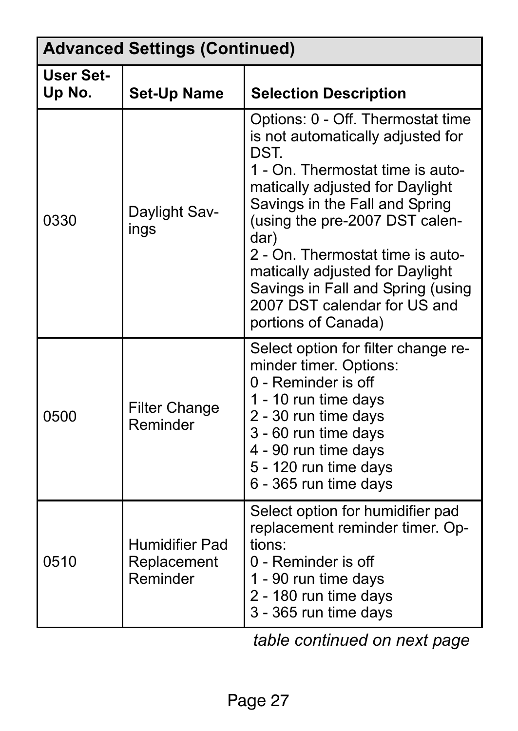| <b>Advanced Settings (Continued)</b> |                                           |                                                                                                                                                                                                                                                                                                                                                                                                      |
|--------------------------------------|-------------------------------------------|------------------------------------------------------------------------------------------------------------------------------------------------------------------------------------------------------------------------------------------------------------------------------------------------------------------------------------------------------------------------------------------------------|
| <b>User Set-</b><br>Up No.           | <b>Set-Up Name</b>                        | <b>Selection Description</b>                                                                                                                                                                                                                                                                                                                                                                         |
| 0330                                 | Daylight Sav-<br>ings                     | Options: 0 - Off. Thermostat time<br>is not automatically adjusted for<br>DST.<br>1 - On. Thermostat time is auto-<br>matically adjusted for Daylight<br>Savings in the Fall and Spring<br>(using the pre-2007 DST calen-<br>dar)<br>2 - On. Thermostat time is auto-<br>matically adjusted for Daylight<br>Savings in Fall and Spring (using<br>2007 DST calendar for US and<br>portions of Canada) |
| 0500                                 | <b>Filter Change</b><br>Reminder          | Select option for filter change re-<br>minder timer. Options:<br>0 - Reminder is off<br>1 - 10 run time days<br>2 - 30 run time days<br>3 - 60 run time days<br>4 - 90 run time days<br>5 - 120 run time days<br>6 - 365 run time days                                                                                                                                                               |
| 0510                                 | Humidifier Pad<br>Replacement<br>Reminder | Select option for humidifier pad<br>replacement reminder timer. Op-<br>tions:<br>0 - Reminder is off<br>1 - 90 run time days<br>2 - 180 run time days<br>3 - 365 run time days                                                                                                                                                                                                                       |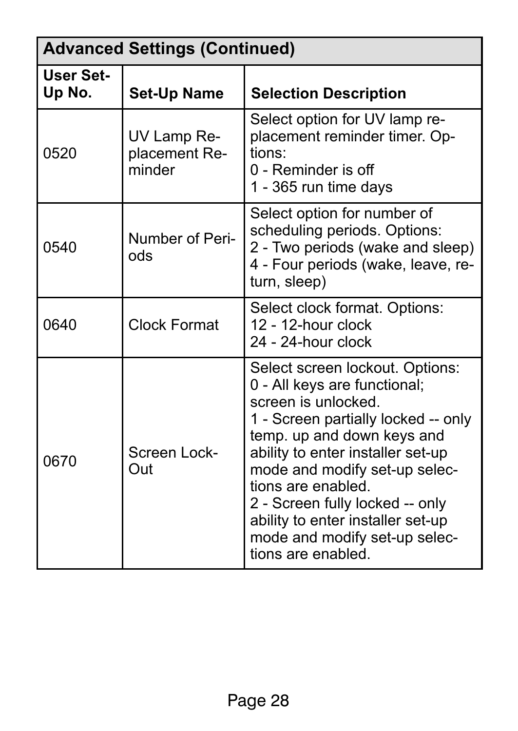| <b>Advanced Settings (Continued)</b> |                                        |                                                                                                                                                                                                                                                                                                                                                                                        |
|--------------------------------------|----------------------------------------|----------------------------------------------------------------------------------------------------------------------------------------------------------------------------------------------------------------------------------------------------------------------------------------------------------------------------------------------------------------------------------------|
| <b>User Set-</b><br>Up No.           | <b>Set-Up Name</b>                     | <b>Selection Description</b>                                                                                                                                                                                                                                                                                                                                                           |
| 0520                                 | UV Lamp Re-<br>placement Re-<br>minder | Select option for UV lamp re-<br>placement reminder timer. Op-<br>tions:<br>0 - Reminder is off<br>1 - 365 run time days                                                                                                                                                                                                                                                               |
| 0540                                 | Number of Peri-<br>ods                 | Select option for number of<br>scheduling periods. Options:<br>2 - Two periods (wake and sleep)<br>4 - Four periods (wake, leave, re-<br>turn, sleep)                                                                                                                                                                                                                                  |
| 0640                                 | Clock Format                           | Select clock format. Options:<br>$12 - 12$ -hour clock<br>24 - 24-hour clock                                                                                                                                                                                                                                                                                                           |
| 0670                                 | Screen Lock-<br>Out                    | Select screen lockout. Options:<br>0 - All keys are functional;<br>screen is unlocked.<br>1 - Screen partially locked -- only<br>temp. up and down keys and<br>ability to enter installer set-up<br>mode and modify set-up selec-<br>tions are enabled.<br>2 - Screen fully locked -- only<br>ability to enter installer set-up<br>mode and modify set-up selec-<br>tions are enabled. |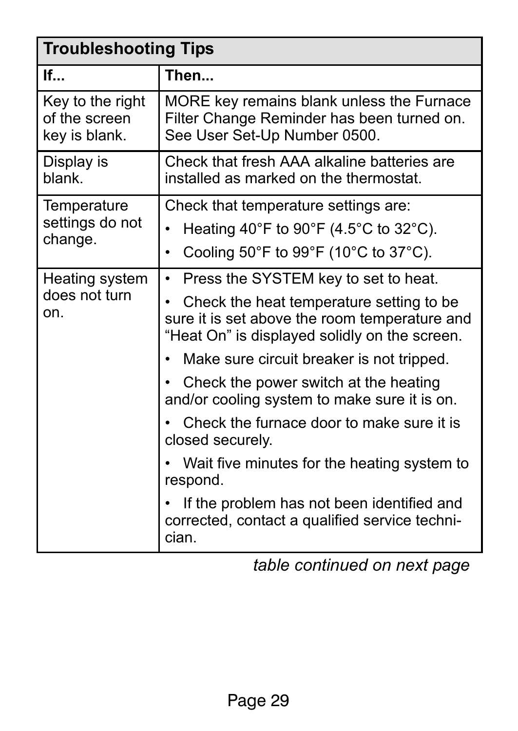<span id="page-28-0"></span>

| <b>Troubleshooting Tips</b>                        |                                                                                                                                             |  |
|----------------------------------------------------|---------------------------------------------------------------------------------------------------------------------------------------------|--|
| If                                                 | Then                                                                                                                                        |  |
| Key to the right<br>of the screen<br>key is blank. | MORE key remains blank unless the Furnace<br>Filter Change Reminder has been turned on.<br>See User Set-Up Number 0500.                     |  |
| Display is<br>blank.                               | Check that fresh AAA alkaline batteries are<br>installed as marked on the thermostat.                                                       |  |
| Temperature                                        | Check that temperature settings are:                                                                                                        |  |
| settings do not<br>change.                         | Heating 40°F to 90°F (4.5°C to 32°C).                                                                                                       |  |
|                                                    | Cooling 50°F to 99°F (10°C to 37°C).                                                                                                        |  |
| Heating system                                     | Press the SYSTEM key to set to heat.                                                                                                        |  |
| does not turn<br>on.                               | Check the heat temperature setting to be.<br>sure it is set above the room temperature and<br>"Heat On" is displayed solidly on the screen. |  |
|                                                    | Make sure circuit breaker is not tripped.                                                                                                   |  |
|                                                    | Check the power switch at the heating<br>and/or cooling system to make sure it is on.                                                       |  |
|                                                    | Check the furnace door to make sure it is<br>closed securely.                                                                               |  |
|                                                    | Wait five minutes for the heating system to<br>respond.                                                                                     |  |
|                                                    | If the problem has not been identified and<br>corrected, contact a qualified service techni-<br>cian.                                       |  |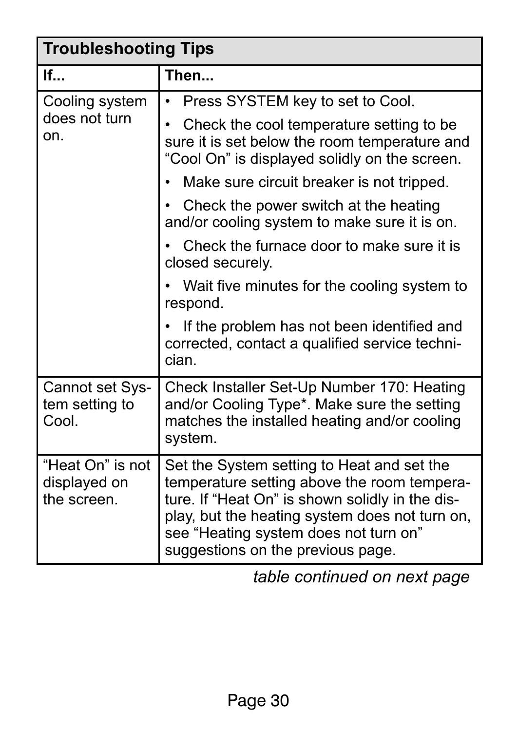| <b>Troubleshooting Tips</b>                     |                                                                                                                                                                                                                                                                              |  |
|-------------------------------------------------|------------------------------------------------------------------------------------------------------------------------------------------------------------------------------------------------------------------------------------------------------------------------------|--|
| If                                              | Then                                                                                                                                                                                                                                                                         |  |
| Cooling system                                  | Press SYSTEM key to set to Cool.                                                                                                                                                                                                                                             |  |
| does not turn<br>on.                            | Check the cool temperature setting to be.<br>sure it is set below the room temperature and<br>"Cool On" is displayed solidly on the screen.                                                                                                                                  |  |
|                                                 | Make sure circuit breaker is not tripped.                                                                                                                                                                                                                                    |  |
|                                                 | Check the power switch at the heating<br>and/or cooling system to make sure it is on.                                                                                                                                                                                        |  |
|                                                 | Check the furnace door to make sure it is<br>closed securely.                                                                                                                                                                                                                |  |
|                                                 | Wait five minutes for the cooling system to<br>respond.                                                                                                                                                                                                                      |  |
|                                                 | If the problem has not been identified and<br>corrected, contact a qualified service techni-<br>cian.                                                                                                                                                                        |  |
| Cannot set Sys-<br>tem setting to<br>Cool.      | Check Installer Set-Up Number 170: Heating<br>and/or Cooling Type*. Make sure the setting<br>matches the installed heating and/or cooling<br>system.                                                                                                                         |  |
| "Heat On" is not<br>displayed on<br>the screen. | Set the System setting to Heat and set the<br>temperature setting above the room tempera-<br>ture. If "Heat On" is shown solidly in the dis-<br>play, but the heating system does not turn on,<br>see "Heating system does not turn on"<br>suggestions on the previous page. |  |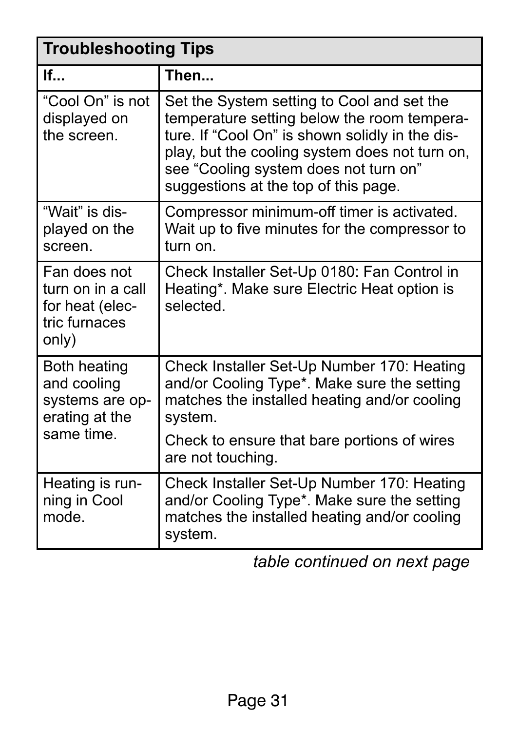| <b>Troubleshooting Tips</b>                                                           |                                                                                                                                                                                                                                                                                 |  |
|---------------------------------------------------------------------------------------|---------------------------------------------------------------------------------------------------------------------------------------------------------------------------------------------------------------------------------------------------------------------------------|--|
| If                                                                                    | Then                                                                                                                                                                                                                                                                            |  |
| "Cool On" is not<br>displayed on<br>the screen.                                       | Set the System setting to Cool and set the<br>temperature setting below the room tempera-<br>ture. If "Cool On" is shown solidly in the dis-<br>play, but the cooling system does not turn on,<br>see "Cooling system does not turn on"<br>suggestions at the top of this page. |  |
| "Wait" is dis-<br>played on the<br>screen.                                            | Compressor minimum-off timer is activated.<br>Wait up to five minutes for the compressor to<br>turn on.                                                                                                                                                                         |  |
| Fan does not<br>turn on in a call<br>for heat (elec-<br>tric furnaces<br>only)        | Check Installer Set-Up 0180: Fan Control in<br>Heating*. Make sure Electric Heat option is<br>selected.                                                                                                                                                                         |  |
| <b>Both heating</b><br>and cooling<br>systems are op-<br>erating at the<br>same time. | Check Installer Set-Up Number 170: Heating<br>and/or Cooling Type*. Make sure the setting<br>matches the installed heating and/or cooling<br>system.<br>Check to ensure that bare portions of wires<br>are not touching.                                                        |  |
| Heating is run-<br>ning in Cool<br>mode.                                              | Check Installer Set-Up Number 170: Heating<br>and/or Cooling Type*. Make sure the setting<br>matches the installed heating and/or cooling<br>system.                                                                                                                            |  |